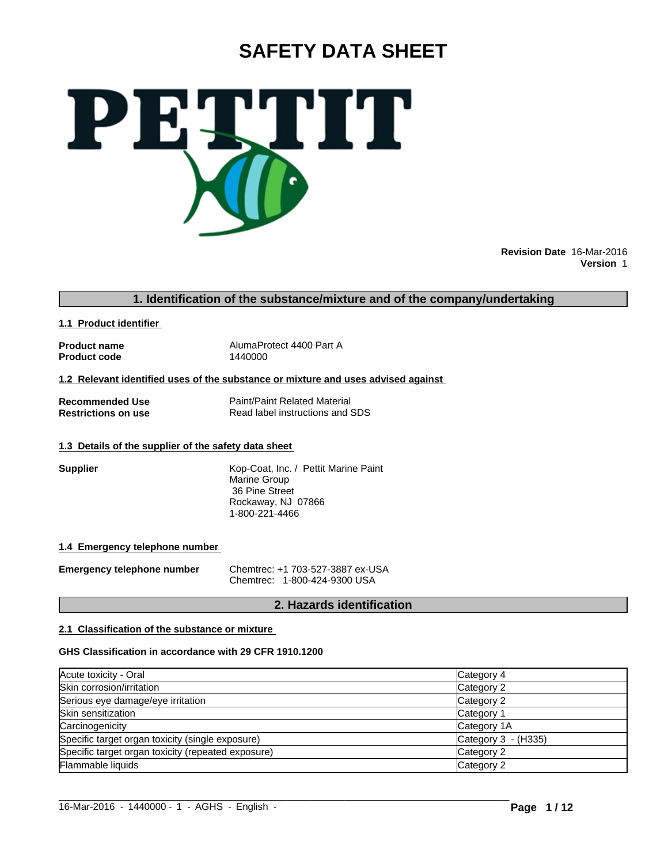# **SAFETY DATA SHEET**



**Revision Date** 16-Mar-2016 **Version** 1

### **1. Identification of the substance/mixture and of the company/undertaking**

**1.1 Product identifier** 

**Product code** 

**Product name** AlumaProtect 4400 Part A<br> **Product code** 1440000

**1.2 Relevant identified uses of the substance or mixture and uses advised against** 

**Recommended Use**<br> **Restrictions on use**<br> **Read label instructions and Separate Read label instructions and Separate Property Read label instructions and SDS** 

#### **1.3 Details of the supplier of the safety data sheet**

**Supplier** Kop-Coat, Inc. / Pettit Marine Paint Marine Group 36 Pine Street Rockaway, NJ 07866 1-800-221-4466

#### **1.4 Emergency telephone number**

**Emergency telephone number** Chemtrec: +1 703-527-3887 ex-USA Chemtrec: 1-800-424-9300 USA

### **2. Hazards identification**

#### **2.1 Classification of the substance or mixture**

#### **GHS Classification in accordance with 29 CFR 1910.1200**

| Acute toxicity - Oral                              | Category 4          |
|----------------------------------------------------|---------------------|
| Skin corrosion/irritation                          | Category 2          |
| Serious eye damage/eye irritation                  | Category 2          |
| Skin sensitization                                 | Category 1          |
| Carcinogenicity                                    | Category 1A         |
| Specific target organ toxicity (single exposure)   | Category 3 - (H335) |
| Specific target organ toxicity (repeated exposure) | Category 2          |
| Flammable liquids                                  | Category 2          |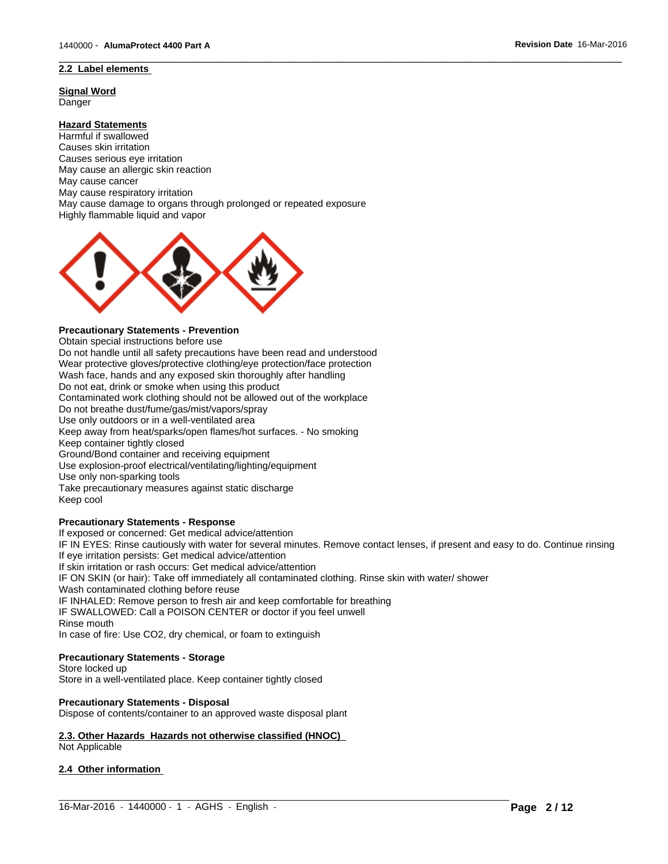### **2.2 Label elements**

**Signal Word** Danger

### **Hazard Statements**

Harmful if swallowed Causes skin irritation Causes serious eye irritation May cause an allergic skin reaction May cause cancer May cause respiratory irritation May cause damage to organs through prolonged or repeated exposure Highly flammable liquid and vapor



#### **Precautionary Statements - Prevention**

Obtain special instructions before use

Do not handle until all safety precautions have been read and understood Wear protective gloves/protective clothing/eye protection/face protection Wash face, hands and any exposed skin thoroughly after handling Do not eat, drink or smoke when using this product Contaminated work clothing should not be allowed out of the workplace Do not breathe dust/fume/gas/mist/vapors/spray Use only outdoors or in a well-ventilated area Keep away from heat/sparks/open flames/hot surfaces. - No smoking Keep container tightly closed Ground/Bond container and receiving equipment Use explosion-proof electrical/ventilating/lighting/equipment Use only non-sparking tools Take precautionary measures against static discharge Keep cool

#### **Precautionary Statements - Response**

If exposed or concerned: Get medical advice/attention

IF IN EYES: Rinse cautiously with water for several minutes. Remove contact lenses, if present and easy to do. Continue rinsing If eye irritation persists: Get medical advice/attention

 $\_$  ,  $\_$  ,  $\_$  ,  $\_$  ,  $\_$  ,  $\_$  ,  $\_$  ,  $\_$  ,  $\_$  ,  $\_$  ,  $\_$  ,  $\_$  ,  $\_$  ,  $\_$  ,  $\_$  ,  $\_$  ,  $\_$  ,  $\_$  ,  $\_$  ,  $\_$  ,  $\_$  ,  $\_$  ,  $\_$  ,  $\_$  ,  $\_$  ,  $\_$  ,  $\_$  ,  $\_$  ,  $\_$  ,  $\_$  ,  $\_$  ,  $\_$  ,  $\_$  ,  $\_$  ,  $\_$  ,  $\_$  ,  $\_$  ,

 $\overline{\phantom{a}}$  ,  $\overline{\phantom{a}}$  ,  $\overline{\phantom{a}}$  ,  $\overline{\phantom{a}}$  ,  $\overline{\phantom{a}}$  ,  $\overline{\phantom{a}}$  ,  $\overline{\phantom{a}}$  ,  $\overline{\phantom{a}}$  ,  $\overline{\phantom{a}}$  ,  $\overline{\phantom{a}}$  ,  $\overline{\phantom{a}}$  ,  $\overline{\phantom{a}}$  ,  $\overline{\phantom{a}}$  ,  $\overline{\phantom{a}}$  ,  $\overline{\phantom{a}}$  ,  $\overline{\phantom{a}}$ 

If skin irritation or rash occurs: Get medical advice/attention

IF ON SKIN (or hair): Take off immediately all contaminated clothing. Rinse skin with water/ shower

Wash contaminated clothing before reuse

IF INHALED: Remove person to fresh air and keep comfortable for breathing

IF SWALLOWED: Call a POISON CENTER or doctor if you feel unwell

Rinse mouth

In case of fire: Use CO2, dry chemical, or foam to extinguish

#### **Precautionary Statements - Storage**

Store locked up Store in a well-ventilated place. Keep container tightly closed

#### **Precautionary Statements - Disposal**

Dispose of contents/container to an approved waste disposal plant

### **2.3. Other Hazards Hazards not otherwise classified (HNOC)**

Not Applicable

#### **2.4 Other information**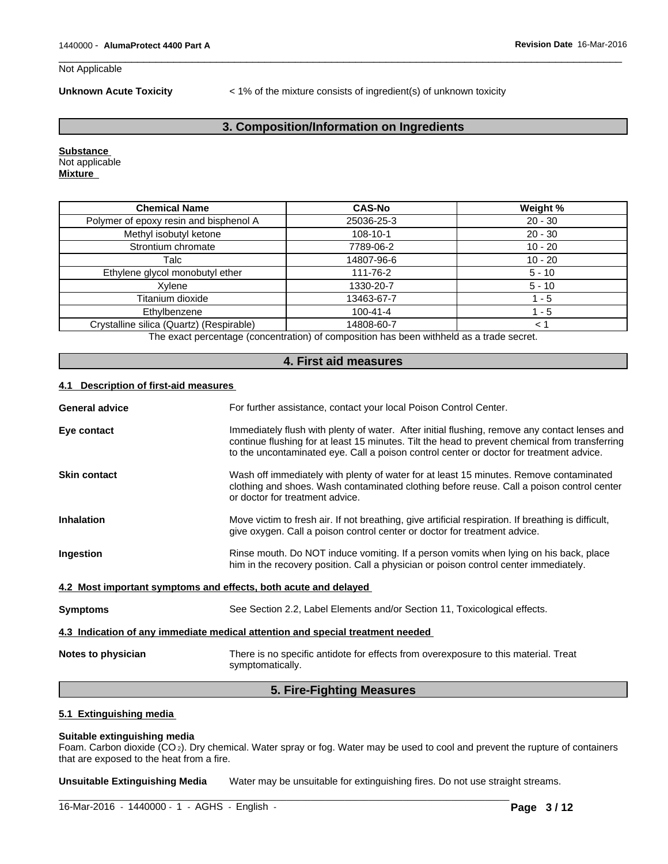#### Not Applicable

**Unknown Acute Toxicity** < 1% of the mixture consists of ingredient(s) of unknown toxicity

 $\overline{\phantom{a}}$  ,  $\overline{\phantom{a}}$  ,  $\overline{\phantom{a}}$  ,  $\overline{\phantom{a}}$  ,  $\overline{\phantom{a}}$  ,  $\overline{\phantom{a}}$  ,  $\overline{\phantom{a}}$  ,  $\overline{\phantom{a}}$  ,  $\overline{\phantom{a}}$  ,  $\overline{\phantom{a}}$  ,  $\overline{\phantom{a}}$  ,  $\overline{\phantom{a}}$  ,  $\overline{\phantom{a}}$  ,  $\overline{\phantom{a}}$  ,  $\overline{\phantom{a}}$  ,  $\overline{\phantom{a}}$ 

### **3. Composition/Information on Ingredients**

**Substance**  Not applicable **Mixture** 

| <b>Chemical Name</b>                     | <b>CAS-No</b>  | Weight %  |
|------------------------------------------|----------------|-----------|
| Polymer of epoxy resin and bisphenol A   | 25036-25-3     | $20 - 30$ |
| Methyl isobutyl ketone                   | $108 - 10 - 1$ | $20 - 30$ |
| Strontium chromate                       | 7789-06-2      | $10 - 20$ |
| Talc                                     | 14807-96-6     | $10 - 20$ |
| Ethylene glycol monobutyl ether          | 111-76-2       | $5 - 10$  |
| Xvlene                                   | 1330-20-7      | $5 - 10$  |
| Titanium dioxide                         | 13463-67-7     | $1 - 5$   |
| Ethylbenzene                             | $100 - 41 - 4$ | l - 5     |
| Crystalline silica (Quartz) (Respirable) | 14808-60-7     | ← 1       |
|                                          |                |           |

The exact percentage (concentration) of composition has been withheld as a trade secret.

#### **4. First aid measures**

#### **4.1 Description of first-aid measures**

| <b>General advice</b>                                           | For further assistance, contact your local Poison Control Center.                                                                                                                                                                                                                          |
|-----------------------------------------------------------------|--------------------------------------------------------------------------------------------------------------------------------------------------------------------------------------------------------------------------------------------------------------------------------------------|
| Eye contact                                                     | Immediately flush with plenty of water. After initial flushing, remove any contact lenses and<br>continue flushing for at least 15 minutes. Tilt the head to prevent chemical from transferring<br>to the uncontaminated eye. Call a poison control center or doctor for treatment advice. |
| <b>Skin contact</b>                                             | Wash off immediately with plenty of water for at least 15 minutes. Remove contaminated<br>clothing and shoes. Wash contaminated clothing before reuse. Call a poison control center<br>or doctor for treatment advice.                                                                     |
| <b>Inhalation</b>                                               | Move victim to fresh air. If not breathing, give artificial respiration. If breathing is difficult,<br>give oxygen. Call a poison control center or doctor for treatment advice.                                                                                                           |
| Ingestion                                                       | Rinse mouth. Do NOT induce vomiting. If a person vomits when lying on his back, place<br>him in the recovery position. Call a physician or poison control center immediately.                                                                                                              |
| 4.2 Most important symptoms and effects, both acute and delayed |                                                                                                                                                                                                                                                                                            |
| <b>Symptoms</b>                                                 | See Section 2.2, Label Elements and/or Section 11, Toxicological effects.                                                                                                                                                                                                                  |
|                                                                 | 4.3 Indication of any immediate medical attention and special treatment needed                                                                                                                                                                                                             |
| Notes to physician                                              | There is no specific antidote for effects from overexposure to this material. Treat<br>symptomatically.                                                                                                                                                                                    |
|                                                                 | ______                                                                                                                                                                                                                                                                                     |

#### **5. Fire-Fighting Measures**

### **5.1 Extinguishing media**

#### **Suitable extinguishing media**

Foam. Carbon dioxide (CO 2). Dry chemical. Water spray or fog. Water may be used to cool and prevent the rupture of containers that are exposed to the heat from a fire.

**Unsuitable Extinguishing Media** Water may be unsuitable for extinguishing fires. Do not use straight streams.

 $\_$  , and the set of the set of the set of the set of the set of the set of the set of the set of the set of the set of the set of the set of the set of the set of the set of the set of the set of the set of the set of th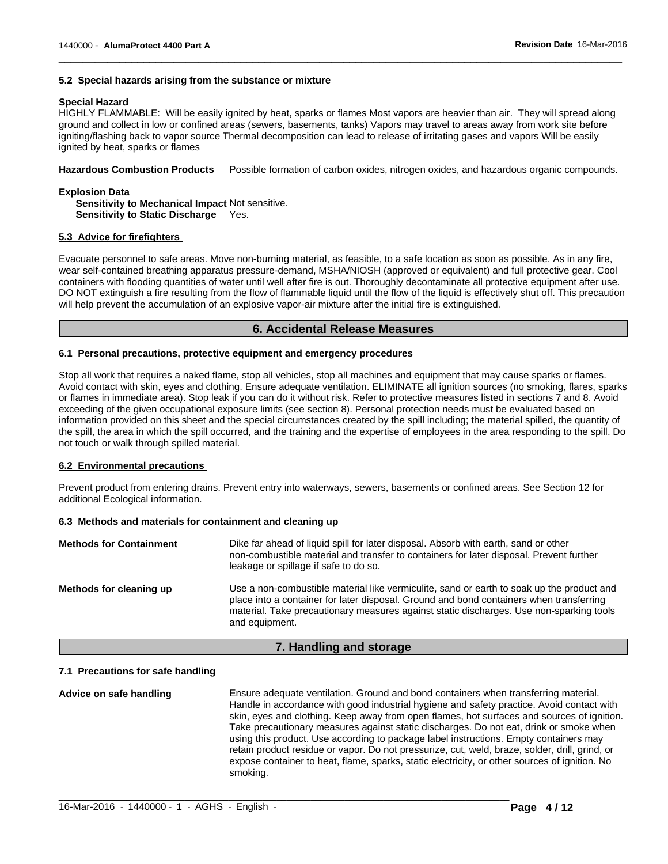#### **5.2 Special hazards arising from the substance or mixture**

#### **Special Hazard**

HIGHLY FLAMMABLE: Will be easily ignited by heat, sparks or flames Most vapors are heavier than air. They will spread along ground and collect in low or confined areas (sewers, basements, tanks) Vapors may travel to areas away from work site before igniting/flashing back to vapor source Thermal decomposition can lead to release of irritating gases and vapors Will be easily ignited by heat, sparks or flames

 $\overline{\phantom{a}}$  ,  $\overline{\phantom{a}}$  ,  $\overline{\phantom{a}}$  ,  $\overline{\phantom{a}}$  ,  $\overline{\phantom{a}}$  ,  $\overline{\phantom{a}}$  ,  $\overline{\phantom{a}}$  ,  $\overline{\phantom{a}}$  ,  $\overline{\phantom{a}}$  ,  $\overline{\phantom{a}}$  ,  $\overline{\phantom{a}}$  ,  $\overline{\phantom{a}}$  ,  $\overline{\phantom{a}}$  ,  $\overline{\phantom{a}}$  ,  $\overline{\phantom{a}}$  ,  $\overline{\phantom{a}}$ 

**Hazardous Combustion Products** Possible formation of carbon oxides, nitrogen oxides, and hazardous organic compounds.

**Explosion Data Sensitivity to Mechanical Impact** Not sensitive. **Sensitivity to Static Discharge** Yes.

#### **5.3 Advice for firefighters**

Evacuate personnel to safe areas. Move non-burning material, as feasible, to a safe location as soon as possible. As in any fire, wear self-contained breathing apparatus pressure-demand, MSHA/NIOSH (approved or equivalent) and full protective gear. Cool containers with flooding quantities of water until well after fire is out. Thoroughly decontaminate all protective equipment after use. DO NOT extinguish a fire resulting from the flow of flammable liquid until the flow of the liquid is effectively shut off. This precaution will help prevent the accumulation of an explosive vapor-air mixture after the initial fire is extinguished.

#### **6. Accidental Release Measures**

#### **6.1 Personal precautions, protective equipment and emergency procedures**

Stop all work that requires a naked flame, stop all vehicles, stop all machines and equipment that may cause sparks or flames. Avoid contact with skin, eyes and clothing. Ensure adequate ventilation. ELIMINATE all ignition sources (no smoking, flares, sparks or flames in immediate area). Stop leak if you can do it without risk. Refer to protective measures listed in sections 7 and 8. Avoid exceeding of the given occupational exposure limits (see section 8). Personal protection needs must be evaluated based on information provided on this sheet and the special circumstances created by the spill including; the material spilled, the quantity of the spill, the area in which the spill occurred, and the training and the expertise of employees in the area responding to the spill. Do not touch or walk through spilled material.

#### **6.2 Environmental precautions**

Prevent product from entering drains. Prevent entry into waterways, sewers, basements or confined areas. See Section 12 for additional Ecological information.

#### **6.3 Methods and materials for containment and cleaning up**

| <b>Methods for Containment</b> | Dike far ahead of liquid spill for later disposal. Absorb with earth, sand or other<br>non-combustible material and transfer to containers for later disposal. Prevent further<br>leakage or spillage if safe to do so.                                                                           |
|--------------------------------|---------------------------------------------------------------------------------------------------------------------------------------------------------------------------------------------------------------------------------------------------------------------------------------------------|
| Methods for cleaning up        | Use a non-combustible material like vermiculite, sand or earth to soak up the product and<br>place into a container for later disposal. Ground and bond containers when transferring<br>material. Take precautionary measures against static discharges. Use non-sparking tools<br>and equipment. |

### **7. Handling and storage**

#### **7.1 Precautions for safe handling**

**Advice on safe handling** Ensure adequate ventilation. Ground and bond containers when transferring material. Handle in accordance with good industrial hygiene and safety practice. Avoid contact with skin, eyes and clothing. Keep away from open flames, hot surfaces and sources of ignition. Take precautionary measures against static discharges. Do not eat, drink or smoke when using this product. Use according to package label instructions. Empty containers may retain product residue or vapor. Do not pressurize, cut, weld, braze, solder, drill, grind, or expose container to heat, flame, sparks, static electricity, or other sources of ignition. No smoking.

 $\_$  , and the set of the set of the set of the set of the set of the set of the set of the set of the set of the set of the set of the set of the set of the set of the set of the set of the set of the set of the set of th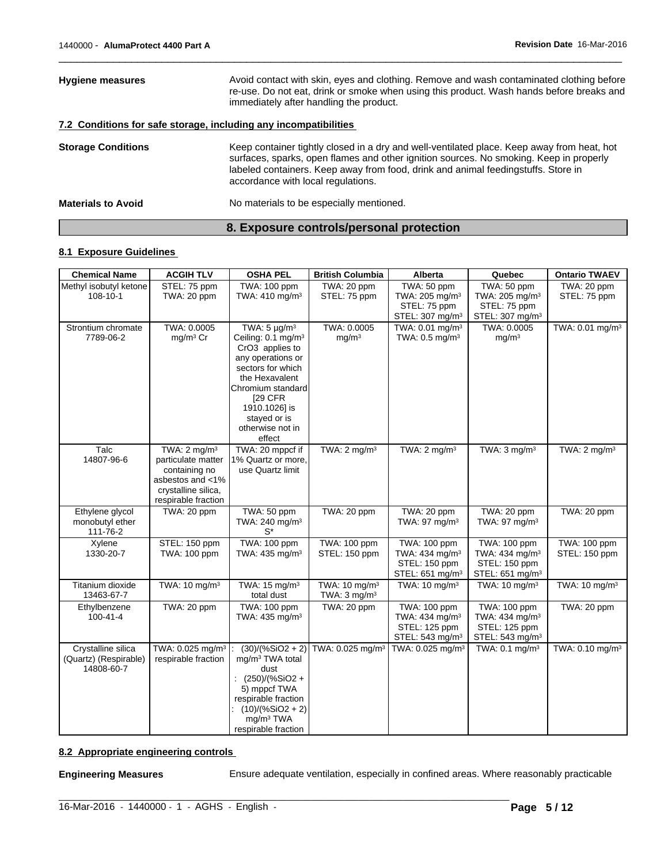|                           | 8. Exposure controls/personal protection                                                                                                                                                                                                                                                                        |
|---------------------------|-----------------------------------------------------------------------------------------------------------------------------------------------------------------------------------------------------------------------------------------------------------------------------------------------------------------|
| <b>Materials to Avoid</b> | No materials to be especially mentioned.                                                                                                                                                                                                                                                                        |
| <b>Storage Conditions</b> | Keep container tightly closed in a dry and well-ventilated place. Keep away from heat, hot<br>surfaces, sparks, open flames and other ignition sources. No smoking. Keep in properly<br>labeled containers. Keep away from food, drink and animal feedingstuffs. Store in<br>accordance with local regulations. |
|                           | 7.2 Conditions for safe storage, including any incompatibilities                                                                                                                                                                                                                                                |
| <b>Hygiene measures</b>   | Avoid contact with skin, eyes and clothing. Remove and wash contaminated clothing before<br>re-use. Do not eat, drink or smoke when using this product. Wash hands before breaks and<br>immediately after handling the product.                                                                                 |

 $\overline{\phantom{a}}$  ,  $\overline{\phantom{a}}$  ,  $\overline{\phantom{a}}$  ,  $\overline{\phantom{a}}$  ,  $\overline{\phantom{a}}$  ,  $\overline{\phantom{a}}$  ,  $\overline{\phantom{a}}$  ,  $\overline{\phantom{a}}$  ,  $\overline{\phantom{a}}$  ,  $\overline{\phantom{a}}$  ,  $\overline{\phantom{a}}$  ,  $\overline{\phantom{a}}$  ,  $\overline{\phantom{a}}$  ,  $\overline{\phantom{a}}$  ,  $\overline{\phantom{a}}$  ,  $\overline{\phantom{a}}$ 

### **8.1 Exposure Guidelines**

| <b>Chemical Name</b>                                      | <b>ACGIH TLV</b>                                                                                                                 | <b>OSHA PEL</b>                                                                                                                                                                                                                           | <b>British Columbia</b>                              | Alberta                                                                                    | Quebec                                                                                     | <b>Ontario TWAEV</b>          |
|-----------------------------------------------------------|----------------------------------------------------------------------------------------------------------------------------------|-------------------------------------------------------------------------------------------------------------------------------------------------------------------------------------------------------------------------------------------|------------------------------------------------------|--------------------------------------------------------------------------------------------|--------------------------------------------------------------------------------------------|-------------------------------|
| Methyl isobutyl ketone<br>108-10-1                        | STEL: 75 ppm<br>TWA: 20 ppm                                                                                                      | TWA: 100 ppm<br>TWA: 410 mg/m <sup>3</sup>                                                                                                                                                                                                | TWA: 20 ppm<br>STEL: 75 ppm                          | TWA: 50 ppm<br>TWA: 205 mg/m <sup>3</sup><br>STEL: 75 ppm<br>STEL: 307 mg/m <sup>3</sup>   | TWA: 50 ppm<br>TWA: 205 mg/m <sup>3</sup><br>STEL: 75 ppm<br>STEL: 307 mg/m <sup>3</sup>   | TWA: 20 ppm<br>STEL: 75 ppm   |
| Strontium chromate<br>7789-06-2                           | TWA: 0.0005<br>mg/m <sup>3</sup> Cr                                                                                              | TWA: $5 \mu g/m^3$<br>Ceiling: 0.1 mg/m <sup>3</sup><br>CrO3 applies to<br>any operations or<br>sectors for which<br>the Hexavalent<br>Chromium standard<br><b>[29 CFR</b><br>1910.1026] is<br>stayed or is<br>otherwise not in<br>effect | TWA: 0.0005<br>mg/m <sup>3</sup>                     | TWA: 0.01 mg/m <sup>3</sup><br>TWA: 0.5 mg/m <sup>3</sup>                                  | TWA: 0.0005<br>mg/m <sup>3</sup>                                                           | TWA: 0.01 mg/m <sup>3</sup>   |
| Talc<br>14807-96-6                                        | TWA: $2 \text{ mg/m}^3$<br>particulate matter<br>containing no<br>asbestos and <1%<br>crystalline silica,<br>respirable fraction | TWA: 20 mppcf if<br>1% Quartz or more,<br>use Quartz limit                                                                                                                                                                                | TWA: $2 \text{ mg/m}^3$                              | TWA: $2 \text{ mg/m}^3$                                                                    | TWA: $3 \text{ mg/m}^3$                                                                    | TWA: $2 \text{ mg/m}^3$       |
| Ethylene glycol<br>monobutyl ether<br>111-76-2            | TWA: 20 ppm                                                                                                                      | TWA: 50 ppm<br>TWA: 240 mg/m <sup>3</sup><br>$S^*$                                                                                                                                                                                        | TWA: 20 ppm                                          | TWA: 20 ppm<br>TWA: 97 mg/m <sup>3</sup>                                                   | TWA: 20 ppm<br>TWA: 97 mg/m <sup>3</sup>                                                   | TWA: 20 ppm                   |
| Xylene<br>1330-20-7                                       | STEL: 150 ppm<br>TWA: 100 ppm                                                                                                    | TWA: 100 ppm<br>TWA: 435 mg/m <sup>3</sup>                                                                                                                                                                                                | TWA: 100 ppm<br>STEL: 150 ppm                        | TWA: 100 ppm<br>TWA: 434 mg/m <sup>3</sup><br>STEL: 150 ppm<br>STEL: 651 mg/m <sup>3</sup> | TWA: 100 ppm<br>TWA: 434 mg/m <sup>3</sup><br>STEL: 150 ppm<br>STEL: $651 \text{ mg/m}^3$  | TWA: 100 ppm<br>STEL: 150 ppm |
| Titanium dioxide<br>13463-67-7                            | TWA: 10 mg/m <sup>3</sup>                                                                                                        | TWA: 15 mg/m <sup>3</sup><br>total dust                                                                                                                                                                                                   | TWA: 10 mg/m <sup>3</sup><br>TWA: $3 \text{ mg/m}^3$ | TWA: $10 \text{ mg/m}^3$                                                                   | TWA: 10 mg/m <sup>3</sup>                                                                  | TWA: 10 mg/m <sup>3</sup>     |
| Ethylbenzene<br>$100 - 41 - 4$                            | TWA: 20 ppm                                                                                                                      | TWA: 100 ppm<br>TWA: 435 mg/m <sup>3</sup>                                                                                                                                                                                                | TWA: 20 ppm                                          | TWA: 100 ppm<br>TWA: 434 mg/m <sup>3</sup><br>STEL: 125 ppm<br>STEL: 543 mg/m <sup>3</sup> | TWA: 100 ppm<br>TWA: 434 mg/m <sup>3</sup><br>STEL: 125 ppm<br>STEL: 543 mg/m <sup>3</sup> | TWA: 20 ppm                   |
| Crystalline silica<br>(Quartz) (Respirable)<br>14808-60-7 | TWA: 0.025 mg/m <sup>3</sup><br>respirable fraction                                                                              | $(30)/(%SiO2 + 2)$<br>mg/m <sup>3</sup> TWA total<br>dust<br>: $(250)/(%SiO2 +$<br>5) mppcf TWA<br>respirable fraction<br>$(10)/(%SiO2 + 2)$<br>mg/m <sup>3</sup> TWA<br>respirable fraction                                              | TWA: 0.025 mg/m <sup>3</sup>                         | TWA: 0.025 mg/m <sup>3</sup>                                                               | TWA: 0.1 mg/m <sup>3</sup>                                                                 | TWA: 0.10 mg/m <sup>3</sup>   |

 $\_$  ,  $\_$  ,  $\_$  ,  $\_$  ,  $\_$  ,  $\_$  ,  $\_$  ,  $\_$  ,  $\_$  ,  $\_$  ,  $\_$  ,  $\_$  ,  $\_$  ,  $\_$  ,  $\_$  ,  $\_$  ,  $\_$  ,  $\_$  ,  $\_$  ,  $\_$  ,  $\_$  ,  $\_$  ,  $\_$  ,  $\_$  ,  $\_$  ,  $\_$  ,  $\_$  ,  $\_$  ,  $\_$  ,  $\_$  ,  $\_$  ,  $\_$  ,  $\_$  ,  $\_$  ,  $\_$  ,  $\_$  ,  $\_$  ,

### **8.2 Appropriate engineering controls**

**Engineering Measures** Ensure adequate ventilation, especially in confined areas. Where reasonably practicable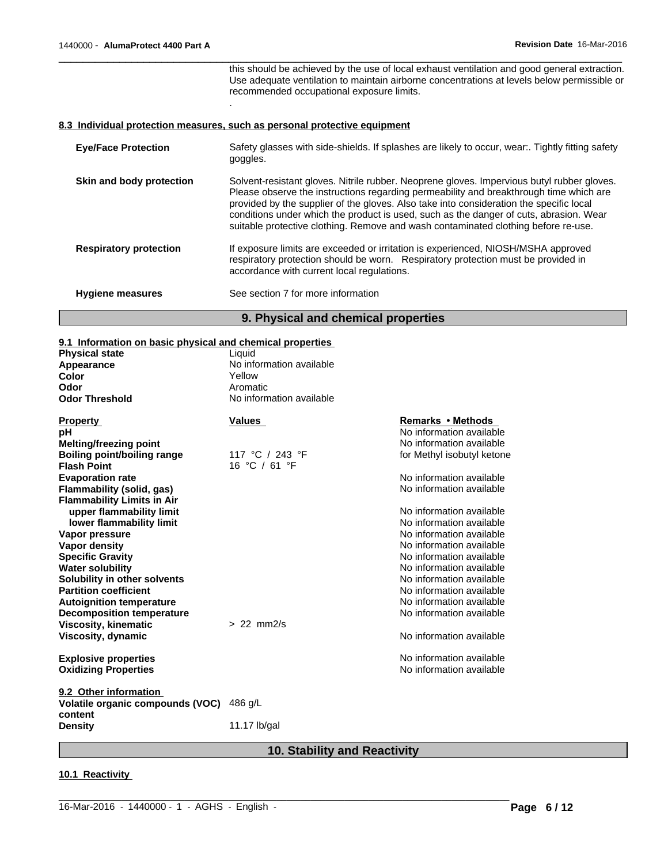this should be achieved by the use of local exhaust ventilation and good general extraction. Use adequate ventilation to maintain airborne concentrations at levels below permissible or recommended occupational exposure limits.

 $\overline{\phantom{a}}$  ,  $\overline{\phantom{a}}$  ,  $\overline{\phantom{a}}$  ,  $\overline{\phantom{a}}$  ,  $\overline{\phantom{a}}$  ,  $\overline{\phantom{a}}$  ,  $\overline{\phantom{a}}$  ,  $\overline{\phantom{a}}$  ,  $\overline{\phantom{a}}$  ,  $\overline{\phantom{a}}$  ,  $\overline{\phantom{a}}$  ,  $\overline{\phantom{a}}$  ,  $\overline{\phantom{a}}$  ,  $\overline{\phantom{a}}$  ,  $\overline{\phantom{a}}$  ,  $\overline{\phantom{a}}$ 

#### **8.3 Individual protection measures, such as personal protective equipment**

.

| <b>Eye/Face Protection</b>    | Safety glasses with side-shields. If splashes are likely to occur, wear Tightly fitting safety<br>goggles.                                                                                                                                                                                                                                                                                                                                                      |
|-------------------------------|-----------------------------------------------------------------------------------------------------------------------------------------------------------------------------------------------------------------------------------------------------------------------------------------------------------------------------------------------------------------------------------------------------------------------------------------------------------------|
| Skin and body protection      | Solvent-resistant gloves. Nitrile rubber. Neoprene gloves. Impervious butyl rubber gloves.<br>Please observe the instructions regarding permeability and breakthrough time which are<br>provided by the supplier of the gloves. Also take into consideration the specific local<br>conditions under which the product is used, such as the danger of cuts, abrasion. Wear<br>suitable protective clothing. Remove and wash contaminated clothing before re-use. |
| <b>Respiratory protection</b> | If exposure limits are exceeded or irritation is experienced, NIOSH/MSHA approved<br>respiratory protection should be worn. Respiratory protection must be provided in<br>accordance with current local regulations.                                                                                                                                                                                                                                            |
| <b>Hygiene measures</b>       | See section 7 for more information                                                                                                                                                                                                                                                                                                                                                                                                                              |
|                               | 9. Physical and chemical properties                                                                                                                                                                                                                                                                                                                                                                                                                             |

### **9.1 Information on basic physical and chemical properties**

| o. Thromation on basic privered and chemical properties |                                  |                            |
|---------------------------------------------------------|----------------------------------|----------------------------|
| <b>Physical state</b>                                   | Liquid                           |                            |
| Appearance                                              | No information available         |                            |
| Color                                                   | Yellow                           |                            |
| Odor                                                    | Aromatic                         |                            |
| <b>Odor Threshold</b>                                   | No information available         |                            |
| <b>Property</b>                                         | Values                           | Remarks • Methods          |
| рH                                                      |                                  | No information available   |
| <b>Melting/freezing point</b>                           |                                  | No information available   |
| Boiling point/boiling range<br><b>Flash Point</b>       | 117 °C / 243 °F<br>16 °C / 61 °F | for Methyl isobutyl ketone |
| <b>Evaporation rate</b>                                 |                                  | No information available   |
| Flammability (solid, gas)                               |                                  | No information available   |
| <b>Flammability Limits in Air</b>                       |                                  |                            |
| upper flammability limit                                |                                  | No information available   |
| lower flammability limit                                |                                  | No information available   |
| Vapor pressure                                          |                                  | No information available   |
| <b>Vapor density</b>                                    |                                  | No information available   |
| <b>Specific Gravity</b>                                 |                                  | No information available   |
| <b>Water solubility</b>                                 |                                  | No information available   |
| Solubility in other solvents                            |                                  | No information available   |
| <b>Partition coefficient</b>                            |                                  | No information available   |
| <b>Autoignition temperature</b>                         |                                  | No information available   |
| <b>Decomposition temperature</b>                        |                                  | No information available   |
| <b>Viscosity, kinematic</b>                             | $> 22$ mm $2/s$                  |                            |
| Viscosity, dynamic                                      |                                  | No information available   |
| <b>Explosive properties</b>                             |                                  | No information available   |
| <b>Oxidizing Properties</b>                             |                                  | No information available   |
| 9.2 Other information                                   |                                  |                            |
| Volatile organic compounds (VOC)<br>content             | 486 q/L                          |                            |
| <b>Density</b>                                          | 11.17 lb/gal                     |                            |
|                                                         |                                  |                            |

### **10. Stability and Reactivity**

 $\_$  ,  $\_$  ,  $\_$  ,  $\_$  ,  $\_$  ,  $\_$  ,  $\_$  ,  $\_$  ,  $\_$  ,  $\_$  ,  $\_$  ,  $\_$  ,  $\_$  ,  $\_$  ,  $\_$  ,  $\_$  ,  $\_$  ,  $\_$  ,  $\_$  ,  $\_$  ,  $\_$  ,  $\_$  ,  $\_$  ,  $\_$  ,  $\_$  ,  $\_$  ,  $\_$  ,  $\_$  ,  $\_$  ,  $\_$  ,  $\_$  ,  $\_$  ,  $\_$  ,  $\_$  ,  $\_$  ,  $\_$  ,  $\_$  ,

#### **10.1 Reactivity**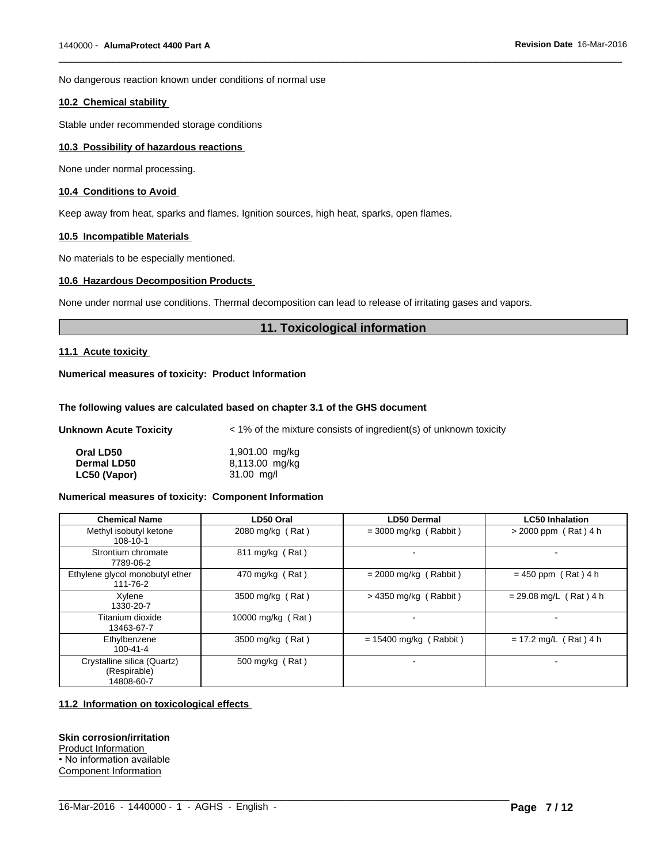No dangerous reaction known under conditions of normal use

#### **10.2 Chemical stability**

Stable under recommended storage conditions

#### **10.3 Possibility of hazardous reactions**

None under normal processing.

#### **10.4 Conditions to Avoid**

Keep away from heat, sparks and flames. Ignition sources, high heat, sparks, open flames.

#### **10.5 Incompatible Materials**

No materials to be especially mentioned.

### **10.6 Hazardous Decomposition Products**

None under normal use conditions. Thermal decomposition can lead to release of irritating gases and vapors.

#### **11. Toxicological information**

 $\overline{\phantom{a}}$  ,  $\overline{\phantom{a}}$  ,  $\overline{\phantom{a}}$  ,  $\overline{\phantom{a}}$  ,  $\overline{\phantom{a}}$  ,  $\overline{\phantom{a}}$  ,  $\overline{\phantom{a}}$  ,  $\overline{\phantom{a}}$  ,  $\overline{\phantom{a}}$  ,  $\overline{\phantom{a}}$  ,  $\overline{\phantom{a}}$  ,  $\overline{\phantom{a}}$  ,  $\overline{\phantom{a}}$  ,  $\overline{\phantom{a}}$  ,  $\overline{\phantom{a}}$  ,  $\overline{\phantom{a}}$ 

#### **11.1 Acute toxicity**

#### **Numerical measures of toxicity: Product Information**

#### **The following values are calculated based on chapter 3.1 of the GHS document**

| Unknown Acute Toxicity | $\leq$ 1% of the mixture consists of ingredient(s) of unknown toxicity |
|------------------------|------------------------------------------------------------------------|
| Oral LD50              | 1,901.00 mg/kg                                                         |
| <b>Dermal LD50</b>     | 8,113.00 mg/kg                                                         |
| LC50 (Vapor)           | $31.00$ mg/l                                                           |

#### **Numerical measures of toxicity: Component Information**

| <b>Chemical Name</b>                                      | LD50 Oral         | <b>LD50 Dermal</b>       | <b>LC50 Inhalation</b>   |
|-----------------------------------------------------------|-------------------|--------------------------|--------------------------|
| Methyl isobutyl ketone<br>108-10-1                        | 2080 mg/kg (Rat)  | $=$ 3000 mg/kg (Rabbit)  | $> 2000$ ppm (Rat) 4 h   |
| Strontium chromate<br>7789-06-2                           | 811 mg/kg (Rat)   |                          |                          |
| Ethylene glycol monobutyl ether<br>111-76-2               | 470 mg/kg (Rat)   | $= 2000$ mg/kg (Rabbit)  | $= 450$ ppm (Rat) 4 h    |
| Xylene<br>1330-20-7                                       | 3500 mg/kg (Rat)  | $>$ 4350 mg/kg (Rabbit)  | $= 29.08$ mg/L (Rat) 4 h |
| Titanium dioxide<br>13463-67-7                            | 10000 mg/kg (Rat) |                          |                          |
| Ethylbenzene<br>$100 - 41 - 4$                            | 3500 mg/kg (Rat)  | $= 15400$ mg/kg (Rabbit) | $= 17.2$ mg/L (Rat) 4 h  |
| Crystalline silica (Quartz)<br>(Respirable)<br>14808-60-7 | 500 mg/kg (Rat)   |                          | ۰                        |

 $\_$  ,  $\_$  ,  $\_$  ,  $\_$  ,  $\_$  ,  $\_$  ,  $\_$  ,  $\_$  ,  $\_$  ,  $\_$  ,  $\_$  ,  $\_$  ,  $\_$  ,  $\_$  ,  $\_$  ,  $\_$  ,  $\_$  ,  $\_$  ,  $\_$  ,  $\_$  ,  $\_$  ,  $\_$  ,  $\_$  ,  $\_$  ,  $\_$  ,  $\_$  ,  $\_$  ,  $\_$  ,  $\_$  ,  $\_$  ,  $\_$  ,  $\_$  ,  $\_$  ,  $\_$  ,  $\_$  ,  $\_$  ,  $\_$  ,

#### **11.2 Information on toxicological effects**

**Skin corrosion/irritation** Product Information • No information available Component Information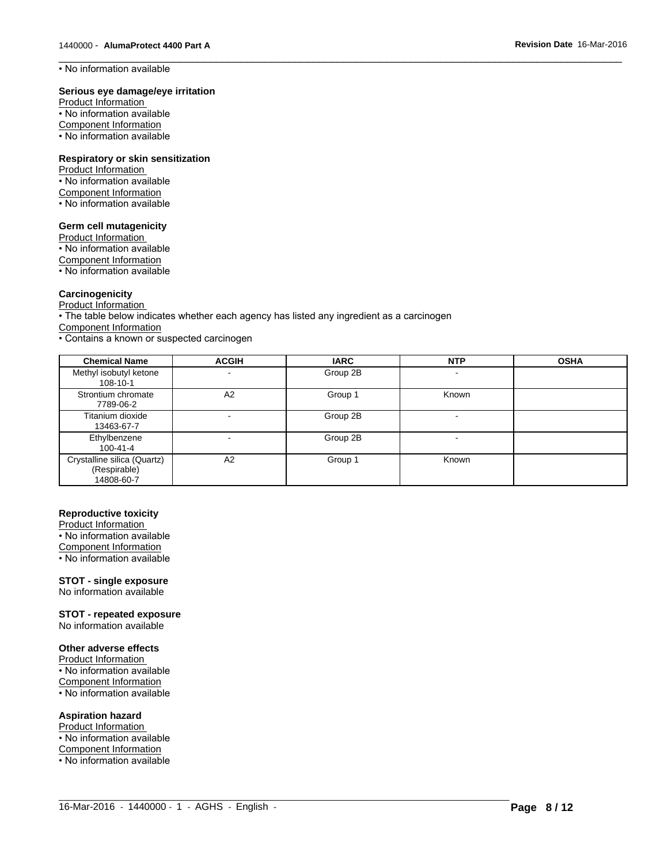• No information available

#### **Serious eye damage/eye irritation**

Product Information • No information available Component Information • No information available

#### **Respiratory or skin sensitization**

Product Information • No information available Component Information • No information available

#### **Germ cell mutagenicity**

Product Information • No information available Component Information • No information available

#### **Carcinogenicity**

Product Information

• The table below indicates whether each agency has listed any ingredient as a carcinogen

Component Information

• Contains a known or suspected carcinogen

| <b>Chemical Name</b>                                      | <b>ACGIH</b>             | <b>IARC</b> | <b>NTP</b>               | <b>OSHA</b> |
|-----------------------------------------------------------|--------------------------|-------------|--------------------------|-------------|
| Methyl isobutyl ketone<br>108-10-1                        |                          | Group 2B    | $\overline{\phantom{a}}$ |             |
| Strontium chromate<br>7789-06-2                           | A2                       | Group 1     | Known                    |             |
| Titanium dioxide<br>13463-67-7                            | $\overline{\phantom{0}}$ | Group 2B    |                          |             |
| Ethylbenzene<br>100-41-4                                  |                          | Group 2B    | -                        |             |
| Crystalline silica (Quartz)<br>(Respirable)<br>14808-60-7 | A2                       | Group 1     | Known                    |             |

 $\_$  ,  $\_$  ,  $\_$  ,  $\_$  ,  $\_$  ,  $\_$  ,  $\_$  ,  $\_$  ,  $\_$  ,  $\_$  ,  $\_$  ,  $\_$  ,  $\_$  ,  $\_$  ,  $\_$  ,  $\_$  ,  $\_$  ,  $\_$  ,  $\_$  ,  $\_$  ,  $\_$  ,  $\_$  ,  $\_$  ,  $\_$  ,  $\_$  ,  $\_$  ,  $\_$  ,  $\_$  ,  $\_$  ,  $\_$  ,  $\_$  ,  $\_$  ,  $\_$  ,  $\_$  ,  $\_$  ,  $\_$  ,  $\_$  ,

 $\overline{\phantom{a}}$  ,  $\overline{\phantom{a}}$  ,  $\overline{\phantom{a}}$  ,  $\overline{\phantom{a}}$  ,  $\overline{\phantom{a}}$  ,  $\overline{\phantom{a}}$  ,  $\overline{\phantom{a}}$  ,  $\overline{\phantom{a}}$  ,  $\overline{\phantom{a}}$  ,  $\overline{\phantom{a}}$  ,  $\overline{\phantom{a}}$  ,  $\overline{\phantom{a}}$  ,  $\overline{\phantom{a}}$  ,  $\overline{\phantom{a}}$  ,  $\overline{\phantom{a}}$  ,  $\overline{\phantom{a}}$ 

#### **Reproductive toxicity**

Product Information • No information available

Component Information

• No information available

#### **STOT - single exposure**

No information available

**STOT - repeated exposure**

No information available

#### **Other adverse effects**

Product Information

• No information available

Component Information  $\cdot$  No information available

### **Aspiration hazard**

Product Information • No information available Component Information • No information available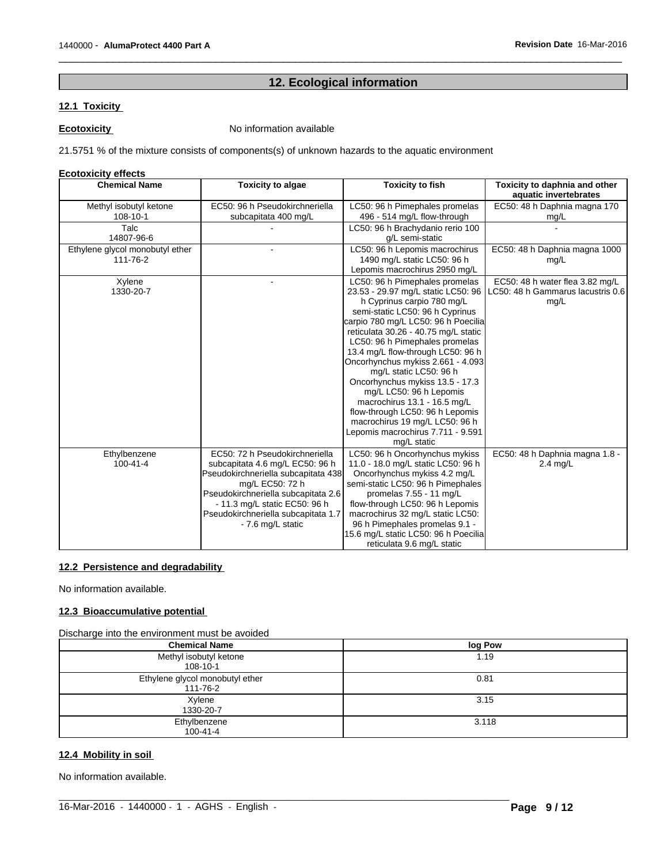# **12. Ecological information**

 $\overline{\phantom{a}}$  ,  $\overline{\phantom{a}}$  ,  $\overline{\phantom{a}}$  ,  $\overline{\phantom{a}}$  ,  $\overline{\phantom{a}}$  ,  $\overline{\phantom{a}}$  ,  $\overline{\phantom{a}}$  ,  $\overline{\phantom{a}}$  ,  $\overline{\phantom{a}}$  ,  $\overline{\phantom{a}}$  ,  $\overline{\phantom{a}}$  ,  $\overline{\phantom{a}}$  ,  $\overline{\phantom{a}}$  ,  $\overline{\phantom{a}}$  ,  $\overline{\phantom{a}}$  ,  $\overline{\phantom{a}}$ 

### **12.1 Toxicity**

**Ecotoxicity No information available** 

21.5751 % of the mixture consists of components(s) of unknown hazards to the aquatic environment

#### **Ecotoxicity effects**

| <b>Chemical Name</b>                        | <b>Toxicity to algae</b>                                                                                                                                                                                                                                        | <b>Toxicity to fish</b>                                                                                                                                                                                                                                                                                                                                                                                                                                                                                                                                                           | Toxicity to daphnia and other<br>aquatic invertebrates                       |
|---------------------------------------------|-----------------------------------------------------------------------------------------------------------------------------------------------------------------------------------------------------------------------------------------------------------------|-----------------------------------------------------------------------------------------------------------------------------------------------------------------------------------------------------------------------------------------------------------------------------------------------------------------------------------------------------------------------------------------------------------------------------------------------------------------------------------------------------------------------------------------------------------------------------------|------------------------------------------------------------------------------|
| Methyl isobutyl ketone<br>108-10-1          | EC50: 96 h Pseudokirchneriella<br>subcapitata 400 mg/L                                                                                                                                                                                                          | LC50: 96 h Pimephales promelas<br>496 - 514 mg/L flow-through                                                                                                                                                                                                                                                                                                                                                                                                                                                                                                                     | EC50: 48 h Daphnia magna 170<br>mg/L                                         |
| Talc<br>14807-96-6                          |                                                                                                                                                                                                                                                                 | LC50: 96 h Brachydanio rerio 100<br>g/L semi-static                                                                                                                                                                                                                                                                                                                                                                                                                                                                                                                               |                                                                              |
| Ethylene glycol monobutyl ether<br>111-76-2 |                                                                                                                                                                                                                                                                 | LC50: 96 h Lepomis macrochirus<br>1490 mg/L static LC50: 96 h<br>Lepomis macrochirus 2950 mg/L                                                                                                                                                                                                                                                                                                                                                                                                                                                                                    | EC50: 48 h Daphnia magna 1000<br>mg/L                                        |
| Xylene<br>1330-20-7                         |                                                                                                                                                                                                                                                                 | LC50: 96 h Pimephales promelas<br>23.53 - 29.97 mg/L static LC50: 96<br>h Cyprinus carpio 780 mg/L<br>semi-static LC50: 96 h Cyprinus<br>carpio 780 mg/L LC50: 96 h Poecilia<br>reticulata 30.26 - 40.75 mg/L static<br>LC50: 96 h Pimephales promelas<br>13.4 mg/L flow-through LC50: 96 h<br>Oncorhynchus mykiss 2.661 - 4.093<br>mg/L static LC50: 96 h<br>Oncorhynchus mykiss 13.5 - 17.3<br>mg/L LC50: 96 h Lepomis<br>macrochirus 13.1 - 16.5 mg/L<br>flow-through LC50: 96 h Lepomis<br>macrochirus 19 mg/L LC50: 96 h<br>Lepomis macrochirus 7.711 - 9.591<br>mg/L static | EC50: 48 h water flea 3.82 mg/L<br>LC50: 48 h Gammarus lacustris 0.6<br>mg/L |
| Ethylbenzene<br>$100 - 41 - 4$              | EC50: 72 h Pseudokirchneriella<br>subcapitata 4.6 mg/L EC50: 96 h<br>Pseudokirchneriella subcapitata 438<br>mg/L EC50: 72 h<br>Pseudokirchneriella subcapitata 2.6<br>- 11.3 mg/L static EC50: 96 h<br>Pseudokirchneriella subcapitata 1.7<br>- 7.6 mg/L static | LC50: 96 h Oncorhynchus mykiss<br>11.0 - 18.0 mg/L static LC50: 96 h<br>Oncorhynchus mykiss 4.2 mg/L<br>semi-static LC50: 96 h Pimephales<br>promelas 7.55 - 11 mg/L<br>flow-through LC50: 96 h Lepomis<br>macrochirus 32 mg/L static LC50:<br>96 h Pimephales promelas 9.1 -<br>15.6 mg/L static LC50: 96 h Poecilia<br>reticulata 9.6 mg/L static                                                                                                                                                                                                                               | EC50: 48 h Daphnia magna 1.8 -<br>$2.4$ mg/L                                 |

### **12.2 Persistence and degradability**

No information available.

### **12.3 Bioaccumulative potential**

Discharge into the environment must be avoided

| <b>Chemical Name</b>                        | log Pow |
|---------------------------------------------|---------|
| Methyl isobutyl ketone<br>108-10-1          | 1.19    |
| Ethylene glycol monobutyl ether<br>111-76-2 | 0.81    |
| Xylene<br>1330-20-7                         | 3.15    |
| Ethylbenzene<br>$100 - 41 - 4$              | 3.118   |

 $\_$  ,  $\_$  ,  $\_$  ,  $\_$  ,  $\_$  ,  $\_$  ,  $\_$  ,  $\_$  ,  $\_$  ,  $\_$  ,  $\_$  ,  $\_$  ,  $\_$  ,  $\_$  ,  $\_$  ,  $\_$  ,  $\_$  ,  $\_$  ,  $\_$  ,  $\_$  ,  $\_$  ,  $\_$  ,  $\_$  ,  $\_$  ,  $\_$  ,  $\_$  ,  $\_$  ,  $\_$  ,  $\_$  ,  $\_$  ,  $\_$  ,  $\_$  ,  $\_$  ,  $\_$  ,  $\_$  ,  $\_$  ,  $\_$  ,

#### **12.4 Mobility in soil**

No information available.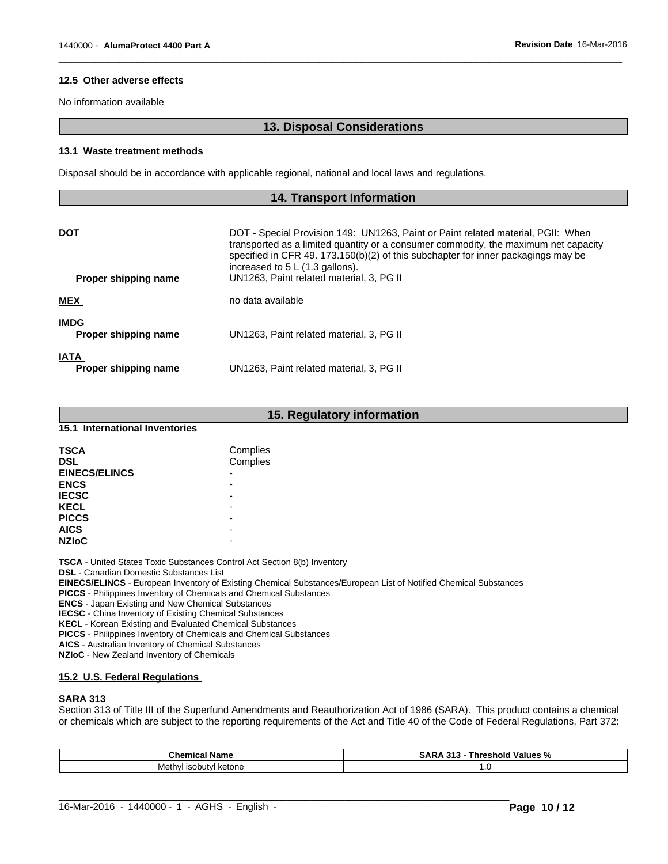#### **12.5 Other adverse effects**

No information available

#### **13. Disposal Considerations**

 $\overline{\phantom{a}}$  ,  $\overline{\phantom{a}}$  ,  $\overline{\phantom{a}}$  ,  $\overline{\phantom{a}}$  ,  $\overline{\phantom{a}}$  ,  $\overline{\phantom{a}}$  ,  $\overline{\phantom{a}}$  ,  $\overline{\phantom{a}}$  ,  $\overline{\phantom{a}}$  ,  $\overline{\phantom{a}}$  ,  $\overline{\phantom{a}}$  ,  $\overline{\phantom{a}}$  ,  $\overline{\phantom{a}}$  ,  $\overline{\phantom{a}}$  ,  $\overline{\phantom{a}}$  ,  $\overline{\phantom{a}}$ 

#### **13.1 Waste treatment methods**

Disposal should be in accordance with applicable regional, national and local laws and regulations.

## **14. Transport Information DOT DOT** - Special Provision 149: UN1263, Paint or Paint related material, PGII: When transported as a limited quantity or a consumer commodity, the maximum net capacity specified in CFR 49. 173.150(b)(2) of this subchapter for inner packagings may be increased to 5 L (1.3 gallons). **Proper shipping name** UN1263, Paint related material, 3, PG II **MEX** no data available **IMDG Proper shipping name** UN1263, Paint related material, 3, PG II **IATA Proper shipping name** UN1263, Paint related material, 3, PG II

|                                | 15. Regulatory information |
|--------------------------------|----------------------------|
| 15.1 International Inventories |                            |
| <b>TSCA</b>                    | Complies                   |
| <b>DSL</b>                     | Complies                   |
| <b>EINECS/ELINCS</b>           | ٠                          |
| <b>ENCS</b>                    | $\overline{\phantom{0}}$   |
| <b>IECSC</b>                   | $\overline{\phantom{a}}$   |
| <b>KECL</b>                    | $\overline{\phantom{0}}$   |
| <b>PICCS</b>                   | $\overline{\phantom{0}}$   |
| <b>AICS</b>                    | $\overline{\phantom{0}}$   |
| <b>NZIoC</b>                   | $\overline{\phantom{0}}$   |

**TSCA** - United States Toxic Substances Control Act Section 8(b) Inventory

**DSL** - Canadian Domestic Substances List

**EINECS/ELINCS** - European Inventory of Existing Chemical Substances/European List of Notified Chemical Substances

**PICCS** - Philippines Inventory of Chemicals and Chemical Substances

**ENCS** - Japan Existing and New Chemical Substances

**IECSC** - China Inventory of Existing Chemical Substances

**KECL** - Korean Existing and Evaluated Chemical Substances

**PICCS** - Philippines Inventory of Chemicals and Chemical Substances

**AICS** - Australian Inventory of Chemical Substances

**NZIoC** - New Zealand Inventory of Chemicals

#### **15.2 U.S. Federal Regulations**

#### **SARA 313**

Section 313 of Title III of the Superfund Amendments and Reauthorization Act of 1986 (SARA). This product contains a chemical or chemicals which are subject to the reporting requirements of the Act and Title 40 of the Code of Federal Regulations, Part 372:

| Chemical<br>and the most | -944<br>Values<br>. eshold '<br>SΑ<br>unrer<br>- 70 |
|--------------------------|-----------------------------------------------------|
| ≒isobutvl ketone<br>ıvıe | ن ا                                                 |

 $\_$  ,  $\_$  ,  $\_$  ,  $\_$  ,  $\_$  ,  $\_$  ,  $\_$  ,  $\_$  ,  $\_$  ,  $\_$  ,  $\_$  ,  $\_$  ,  $\_$  ,  $\_$  ,  $\_$  ,  $\_$  ,  $\_$  ,  $\_$  ,  $\_$  ,  $\_$  ,  $\_$  ,  $\_$  ,  $\_$  ,  $\_$  ,  $\_$  ,  $\_$  ,  $\_$  ,  $\_$  ,  $\_$  ,  $\_$  ,  $\_$  ,  $\_$  ,  $\_$  ,  $\_$  ,  $\_$  ,  $\_$  ,  $\_$  ,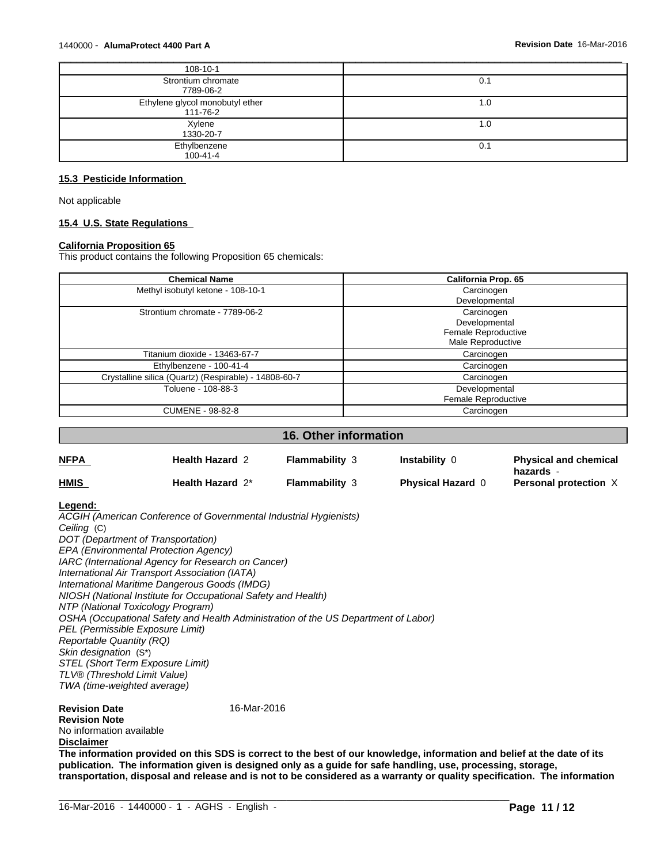| 108-10-1                                    |      |
|---------------------------------------------|------|
| Strontium chromate<br>7789-06-2             | υ.΄  |
| Ethylene glycol monobutyl ether<br>111-76-2 | ı.u  |
| Xylene<br>1330-20-7                         | 0. ا |
| Ethylbenzene<br>100-41-4                    | 0.1  |

### **15.3 Pesticide Information**

Not applicable

#### **15.4 U.S. State Regulations**

#### **California Proposition 65**

This product contains the following Proposition 65 chemicals:

| <b>Chemical Name</b>                                  | California Prop. 65 |
|-------------------------------------------------------|---------------------|
| Methyl isobutyl ketone - 108-10-1                     | Carcinogen          |
|                                                       | Developmental       |
| Strontium chromate - 7789-06-2                        | Carcinogen          |
|                                                       | Developmental       |
|                                                       | Female Reproductive |
|                                                       | Male Reproductive   |
| Titanium dioxide - 13463-67-7                         | Carcinogen          |
| Ethylbenzene - 100-41-4                               | Carcinogen          |
| Crystalline silica (Quartz) (Respirable) - 14808-60-7 | Carcinogen          |
| Toluene - 108-88-3                                    | Developmental       |
|                                                       | Female Reproductive |
| <b>CUMENE - 98-82-8</b>                               | Carcinogen          |

### **16. Other information**

| <b>NFPA</b>                                                                                                                                                                                                                                                                                                                      | <b>Health Hazard 2</b>                                                                                                                                                                                                                                                                                                          | <b>Flammability 3</b> | <b>Instability 0</b>     | <b>Physical and chemical</b><br>hazards - |
|----------------------------------------------------------------------------------------------------------------------------------------------------------------------------------------------------------------------------------------------------------------------------------------------------------------------------------|---------------------------------------------------------------------------------------------------------------------------------------------------------------------------------------------------------------------------------------------------------------------------------------------------------------------------------|-----------------------|--------------------------|-------------------------------------------|
| <u>HMIS</u>                                                                                                                                                                                                                                                                                                                      | Health Hazard 2*                                                                                                                                                                                                                                                                                                                | <b>Flammability 3</b> | <b>Physical Hazard 0</b> | Personal protection X                     |
| Legend:<br>Ceiling (C)<br>DOT (Department of Transportation)<br>EPA (Environmental Protection Agency)<br>International Air Transport Association (IATA)<br>NTP (National Toxicology Program)<br>PEL (Permissible Exposure Limit)<br><b>Reportable Quantity (RQ)</b><br>Skin designation (S*)<br>STEL (Short Term Exposure Limit) | ACGIH (American Conference of Governmental Industrial Hygienists)<br>IARC (International Agency for Research on Cancer)<br>International Maritime Dangerous Goods (IMDG)<br>NIOSH (National Institute for Occupational Safety and Health)<br>OSHA (Occupational Safety and Health Administration of the US Department of Labor) |                       |                          |                                           |
| TLV® (Threshold Limit Value)<br>TWA (time-weighted average)                                                                                                                                                                                                                                                                      |                                                                                                                                                                                                                                                                                                                                 |                       |                          |                                           |
| <b>Revision Date</b><br><b>Revision Note</b><br>No information available<br><b>Disclaimer</b>                                                                                                                                                                                                                                    | 16-Mar-2016                                                                                                                                                                                                                                                                                                                     |                       |                          |                                           |

**The information provided on this SDS is correct to the best of our knowledge, information and belief at the date of its publication. The information given is designed only as a guide for safe handling, use, processing, storage, transportation, disposal and release and is not to be considered as a warranty or quality specification. The information**

 $\_$  ,  $\_$  ,  $\_$  ,  $\_$  ,  $\_$  ,  $\_$  ,  $\_$  ,  $\_$  ,  $\_$  ,  $\_$  ,  $\_$  ,  $\_$  ,  $\_$  ,  $\_$  ,  $\_$  ,  $\_$  ,  $\_$  ,  $\_$  ,  $\_$  ,  $\_$  ,  $\_$  ,  $\_$  ,  $\_$  ,  $\_$  ,  $\_$  ,  $\_$  ,  $\_$  ,  $\_$  ,  $\_$  ,  $\_$  ,  $\_$  ,  $\_$  ,  $\_$  ,  $\_$  ,  $\_$  ,  $\_$  ,  $\_$  ,